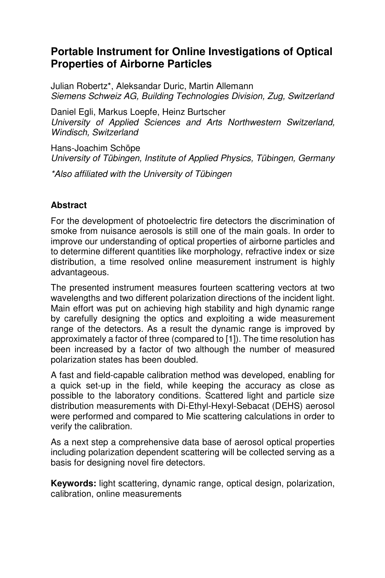# **Portable Instrument for Online Investigations of Optical Properties of Airborne Particles**

Julian Robertz\*, Aleksandar Duric, Martin Allemann Siemens Schweiz AG, Building Technologies Division, Zug, Switzerland

Daniel Egli, Markus Loepfe, Heinz Burtscher University of Applied Sciences and Arts Northwestern Switzerland, Windisch, Switzerland

Hans-Joachim Schöpe University of Tübingen, Institute of Applied Physics, Tübingen, Germany

\*Also affiliated with the University of Tübingen

# **Abstract**

For the development of photoelectric fire detectors the discrimination of smoke from nuisance aerosols is still one of the main goals. In order to improve our understanding of optical properties of airborne particles and to determine different quantities like morphology, refractive index or size distribution, a time resolved online measurement instrument is highly advantageous.

The presented instrument measures fourteen scattering vectors at two wavelengths and two different polarization directions of the incident light. Main effort was put on achieving high stability and high dynamic range by carefully designing the optics and exploiting a wide measurement range of the detectors. As a result the dynamic range is improved by approximately a factor of three (compared to [1]). The time resolution has been increased by a factor of two although the number of measured polarization states has been doubled.

A fast and field-capable calibration method was developed, enabling for a quick set-up in the field, while keeping the accuracy as close as possible to the laboratory conditions. Scattered light and particle size distribution measurements with Di-Ethyl-Hexyl-Sebacat (DEHS) aerosol were performed and compared to Mie scattering calculations in order to verify the calibration.

As a next step a comprehensive data base of aerosol optical properties including polarization dependent scattering will be collected serving as a basis for designing novel fire detectors.

**Keywords:** light scattering, dynamic range, optical design, polarization, calibration, online measurements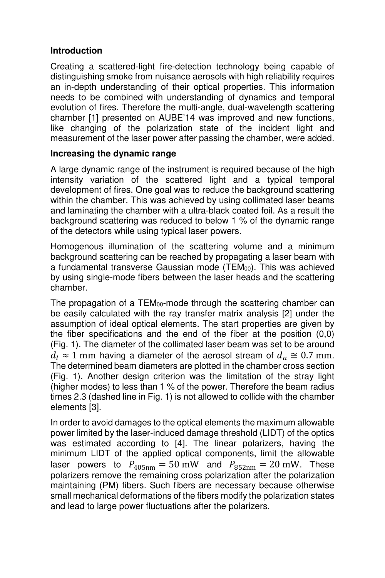## **Introduction**

Creating a scattered-light fire-detection technology being capable of distinguishing smoke from nuisance aerosols with high reliability requires an in-depth understanding of their optical properties. This information needs to be combined with understanding of dynamics and temporal evolution of fires. Therefore the multi-angle, dual-wavelength scattering chamber [1] presented on AUBE'14 was improved and new functions, like changing of the polarization state of the incident light and measurement of the laser power after passing the chamber, were added.

### **Increasing the dynamic range**

A large dynamic range of the instrument is required because of the high intensity variation of the scattered light and a typical temporal development of fires. One goal was to reduce the background scattering within the chamber. This was achieved by using collimated laser beams and laminating the chamber with a ultra-black coated foil. As a result the background scattering was reduced to below 1 % of the dynamic range of the detectors while using typical laser powers.

Homogenous illumination of the scattering volume and a minimum background scattering can be reached by propagating a laser beam with a fundamental transverse Gaussian mode (TEM<sub>00</sub>). This was achieved by using single-mode fibers between the laser heads and the scattering chamber.

The propagation of a TEM<sub>00</sub>-mode through the scattering chamber can be easily calculated with the ray transfer matrix analysis [2] under the assumption of ideal optical elements. The start properties are given by the fiber specifications and the end of the fiber at the position (0,0) (Fig. 1). The diameter of the collimated laser beam was set to be around  $d_l \approx 1$  mm having a diameter of the aerosol stream of  $d_a \approx 0.7$  mm. The determined beam diameters are plotted in the chamber cross section (Fig. 1). Another design criterion was the limitation of the stray light (higher modes) to less than 1 % of the power. Therefore the beam radius times 2.3 (dashed line in Fig. 1) is not allowed to collide with the chamber elements [3].

In order to avoid damages to the optical elements the maximum allowable power limited by the laser-induced damage threshold (LIDT) of the optics was estimated according to [4]. The linear polarizers, having the minimum LIDT of the applied optical components, limit the allowable laser powers to  $P_{405\text{nm}} = 50 \text{ mW}$  and  $P_{852\text{nm}} = 20 \text{ mW}$ . These polarizers remove the remaining cross polarization after the polarization maintaining (PM) fibers. Such fibers are necessary because otherwise small mechanical deformations of the fibers modify the polarization states and lead to large power fluctuations after the polarizers.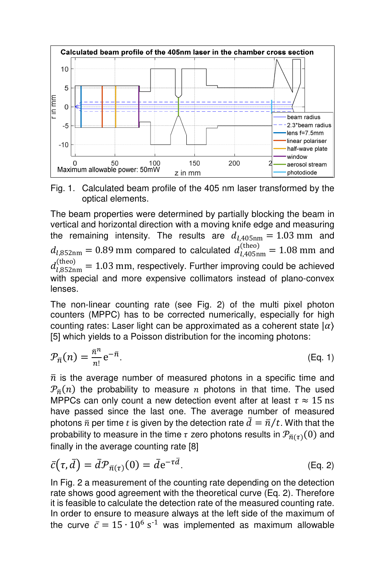

Fig. 1. Calculated beam profile of the 405 nm laser transformed by the optical elements.

The beam properties were determined by partially blocking the beam in vertical and horizontal direction with a moving knife edge and measuring the remaining intensity. The results are  $d_{l,405\text{nm}} = 1.03 \text{ mm}$  and  $d_{l,852\text{nm}} = 0.89 \text{ mm}$  compared to calculated  $d_{l,405\text{nm}}^{(\text{theo})} = 1.08 \text{ mm}$  and  $d_{l,852\text{nm}}^{\text{(theo)}}=1.03$  mm, respectively. Further improving could be achieved with special and more expensive collimators instead of plano-convex lenses.

The non-linear counting rate (see Fig. 2) of the multi pixel photon counters (MPPC) has to be corrected numerically, especially for high counting rates: Laser light can be approximated as a coherent state  $|\alpha\rangle$ [5] which yields to a Poisson distribution for the incoming photons:

$$
\mathcal{P}_{\bar{n}}(n) = \frac{\bar{n}^n}{n!} e^{-\bar{n}}.\tag{Eq. 1}
$$

 $\bar{n}$  is the average number of measured photons in a specific time and  $\mathcal{P}_{\bar{n}}(n)$  the probability to measure  $n$  photons in that time. The used MPPCs can only count a new detection event after at least  $\tau \approx 15 \text{ ns}$ have passed since the last one. The average number of measured photons  $\bar{n}$  per time t is given by the detection rate  $d = \bar{n}/t$ . With that the probability to measure in the time  $\tau$  zero photons results in  $\mathcal{P}_{\bar{n}(\tau)}(0)$  and finally in the average counting rate [8]

$$
\bar{c}(\tau, \bar{d}) = \bar{d} \mathcal{P}_{\bar{n}(\tau)}(0) = \bar{d} e^{-\tau \bar{d}}.
$$
 (Eq. 2)

In Fig. 2 a measurement of the counting rate depending on the detection rate shows good agreement with the theoretical curve (Eq. 2). Therefore it is feasible to calculate the detection rate of the measured counting rate. In order to ensure to measure always at the left side of the maximum of the curve  $\bar{c} = 15 \cdot 10^6 \text{ s}^{-1}$  was implemented as maximum allowable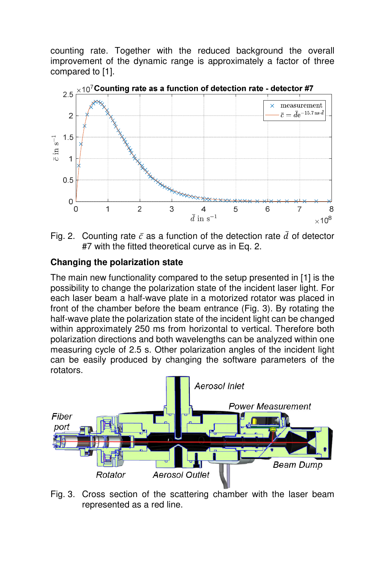counting rate. Together with the reduced background the overall improvement of the dynamic range is approximately a factor of three compared to [1].



Fig. 2. Counting rate  $\bar{c}$  as a function of the detection rate  $\bar{d}$  of detector #7 with the fitted theoretical curve as in Eq. 2.

### **Changing the polarization state**

The main new functionality compared to the setup presented in [1] is the possibility to change the polarization state of the incident laser light. For each laser beam a half-wave plate in a motorized rotator was placed in front of the chamber before the beam entrance (Fig. 3). By rotating the half-wave plate the polarization state of the incident light can be changed within approximately 250 ms from horizontal to vertical. Therefore both polarization directions and both wavelengths can be analyzed within one measuring cycle of 2.5 s. Other polarization angles of the incident light can be easily produced by changing the software parameters of the rotators.



Fig. 3. Cross section of the scattering chamber with the laser beam represented as a red line.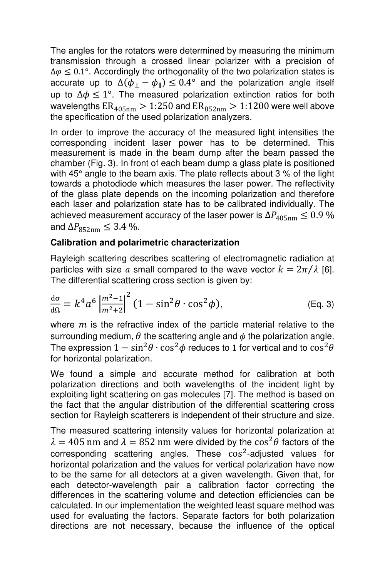The angles for the rotators were determined by measuring the minimum transmission through a crossed linear polarizer with a precision of  $\Delta \varphi \leq 0.1^{\circ}$ . Accordingly the orthogonality of the two polarization states is accurate up to  $\Delta(\phi_{\perp}-\phi_{\parallel})\leq 0.4^{\circ}$  and the polarization angle itself up to  $\Delta \phi \leq 1^{\circ}$ . The measured polarization extinction ratios for both wavelengths  $ER_{405nm} > 1:250$  and  $ER_{852nm} > 1:1200$  were well above the specification of the used polarization analyzers.

In order to improve the accuracy of the measured light intensities the corresponding incident laser power has to be determined. This measurement is made in the beam dump after the beam passed the chamber (Fig. 3). In front of each beam dump a glass plate is positioned with 45° angle to the beam axis. The plate reflects about 3 % of the light towards a photodiode which measures the laser power. The reflectivity of the glass plate depends on the incoming polarization and therefore each laser and polarization state has to be calibrated individually. The achieved measurement accuracy of the laser power is  $\Delta P_{405\text{nm}} \leq 0.9\%$ and  $\Delta P_{852\text{nm}} \leq 3.4\%$ .

#### **Calibration and polarimetric characterization**

Rayleigh scattering describes scattering of electromagnetic radiation at particles with size a small compared to the wave vector  $k = 2\pi/\lambda$  [6]. The differential scattering cross section is given by:

$$
\frac{d\sigma}{d\Omega} = k^4 a^6 \left| \frac{m^2 - 1}{m^2 + 2} \right|^2 (1 - \sin^2 \theta \cdot \cos^2 \phi),
$$
 (Eq. 3)

where  $m$  is the refractive index of the particle material relative to the surrounding medium,  $\theta$  the scattering angle and  $\phi$  the polarization angle. The expression  $1 - \sin^2\theta \cdot \cos^2\phi$  reduces to 1 for vertical and to  $\cos^2\theta$ for horizontal polarization.

We found a simple and accurate method for calibration at both polarization directions and both wavelengths of the incident light by exploiting light scattering on gas molecules [7]. The method is based on the fact that the angular distribution of the differential scattering cross section for Rayleigh scatterers is independent of their structure and size.

The measured scattering intensity values for horizontal polarization at  $\lambda = 405$  nm and  $\lambda = 852$  nm were divided by the cos<sup>2</sup> $\theta$  factors of the corresponding scattering angles. These  $cos^2$ -adjusted values for horizontal polarization and the values for vertical polarization have now to be the same for all detectors at a given wavelength. Given that, for each detector-wavelength pair a calibration factor correcting the differences in the scattering volume and detection efficiencies can be calculated. In our implementation the weighted least square method was used for evaluating the factors. Separate factors for both polarization directions are not necessary, because the influence of the optical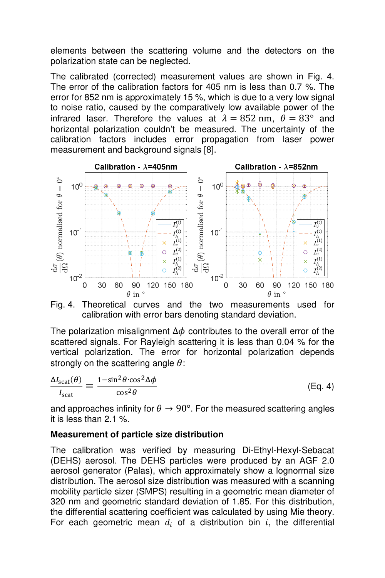elements between the scattering volume and the detectors on the polarization state can be neglected.

The calibrated (corrected) measurement values are shown in Fig. 4. The error of the calibration factors for 405 nm is less than 0.7 %. The error for 852 nm is approximately 15 %, which is due to a very low signal to noise ratio, caused by the comparatively low available power of the infrared laser. Therefore the values at  $\lambda = 852$  nm,  $\theta = 83^{\circ}$  and horizontal polarization couldn't be measured. The uncertainty of the calibration factors includes error propagation from laser power measurement and background signals [8].



Fig. 4. Theoretical curves and the two measurements used for calibration with error bars denoting standard deviation.

The polarization misalignment  $\Delta\phi$  contributes to the overall error of the scattered signals. For Rayleigh scattering it is less than 0.04 % for the vertical polarization. The error for horizontal polarization depends strongly on the scattering angle  $\theta$ :

$$
\frac{\Delta I_{\text{scat}}(\theta)}{I_{\text{scat}}} = \frac{1 - \sin^2 \theta \cdot \cos^2 \Delta \phi}{\cos^2 \theta} \tag{Eq. 4}
$$

and approaches infinity for  $\theta \rightarrow 90^\circ$ . For the measured scattering angles it is less than 2.1 %.

### **Measurement of particle size distribution**

The calibration was verified by measuring Di-Ethyl-Hexyl-Sebacat (DEHS) aerosol. The DEHS particles were produced by an AGF 2.0 aerosol generator (Palas), which approximately show a lognormal size distribution. The aerosol size distribution was measured with a scanning mobility particle sizer (SMPS) resulting in a geometric mean diameter of 320 nm and geometric standard deviation of 1.85. For this distribution, the differential scattering coefficient was calculated by using Mie theory. For each geometric mean  $d_i$  of a distribution bin i, the differential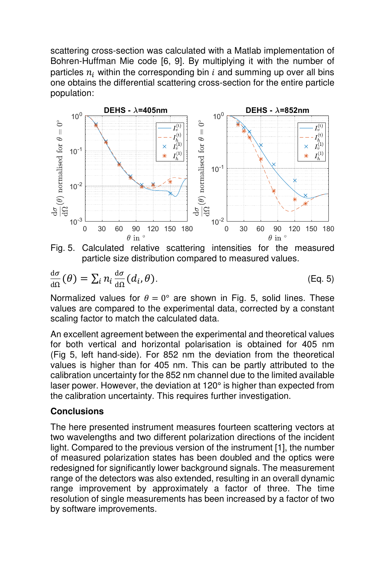scattering cross-section was calculated with a Matlab implementation of Bohren-Huffman Mie code [6, 9]. By multiplying it with the number of particles  $n_i$  within the corresponding bin i and summing up over all bins one obtains the differential scattering cross-section for the entire particle population:



Fig. 5. Calculated relative scattering intensities for the measured particle size distribution compared to measured values.

$$
\frac{d\sigma}{d\Omega}(\theta) = \sum_{i} n_i \frac{d\sigma}{d\Omega} (d_i, \theta).
$$
 (Eq. 5)

Normalized values for  $\theta = 0^{\circ}$  are shown in Fig. 5, solid lines. These values are compared to the experimental data, corrected by a constant scaling factor to match the calculated data.

An excellent agreement between the experimental and theoretical values for both vertical and horizontal polarisation is obtained for 405 nm (Fig 5, left hand-side). For 852 nm the deviation from the theoretical values is higher than for 405 nm. This can be partly attributed to the calibration uncertainty for the 852 nm channel due to the limited available laser power. However, the deviation at 120° is higher than expected from the calibration uncertainty. This requires further investigation.

#### **Conclusions**

The here presented instrument measures fourteen scattering vectors at two wavelengths and two different polarization directions of the incident light. Compared to the previous version of the instrument [1], the number of measured polarization states has been doubled and the optics were redesigned for significantly lower background signals. The measurement range of the detectors was also extended, resulting in an overall dynamic range improvement by approximately a factor of three. The time resolution of single measurements has been increased by a factor of two by software improvements.